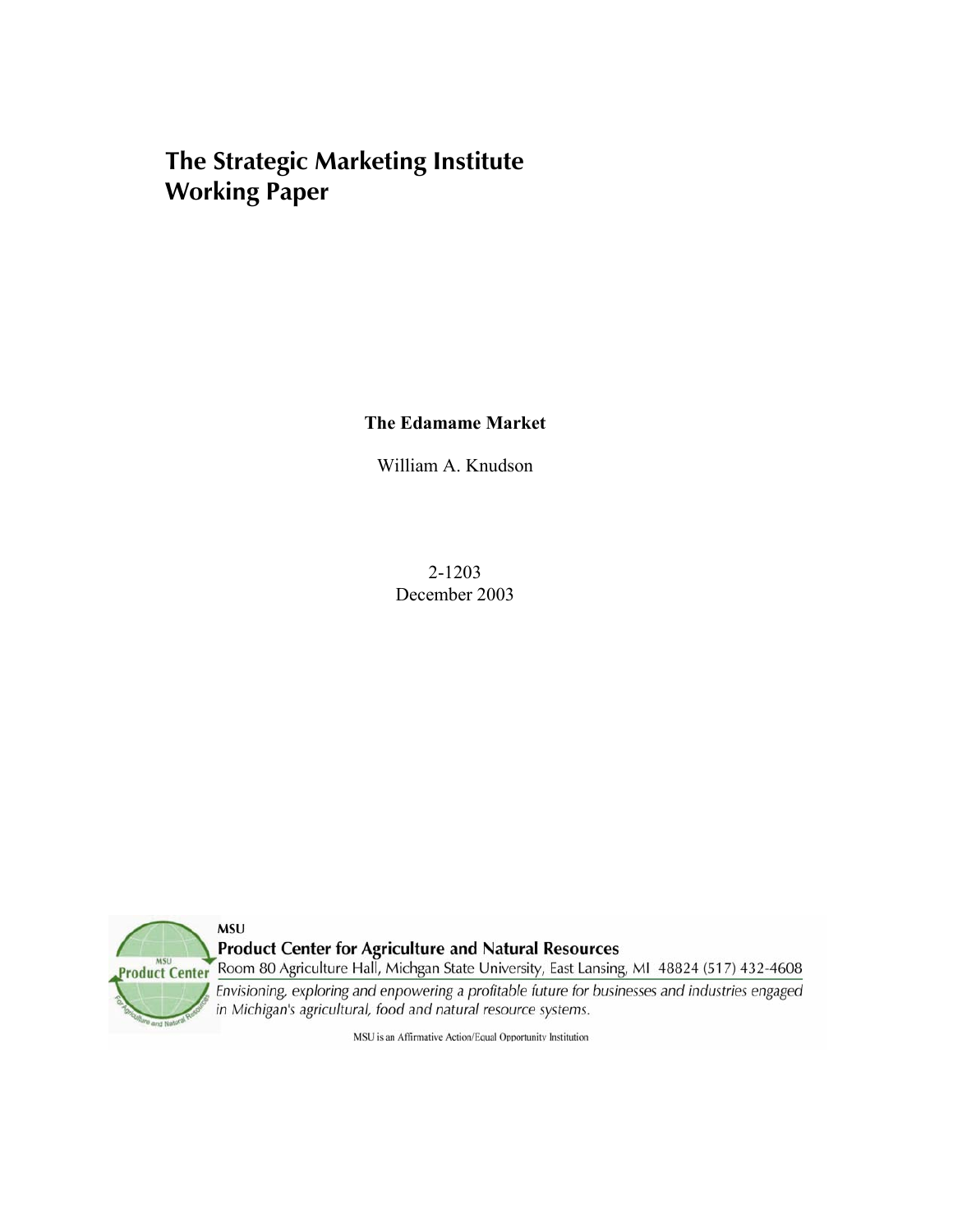# **The Strategic Marketing Institute Working Paper**

**The Edamame Market** 

William A. Knudson

2-1203 December 2003



**Product Center for Agriculture and Natural Resources** 

Room 80 Agriculture Hall, Michgan State University, East Lansing, MI 48824 (517) 432-4608

Envisioning, exploring and enpowering a profitable future for businesses and industries engaged in Michigan's agricultural, food and natural resource systems.

MSU is an Affirmative Action/Equal Opportunity Institution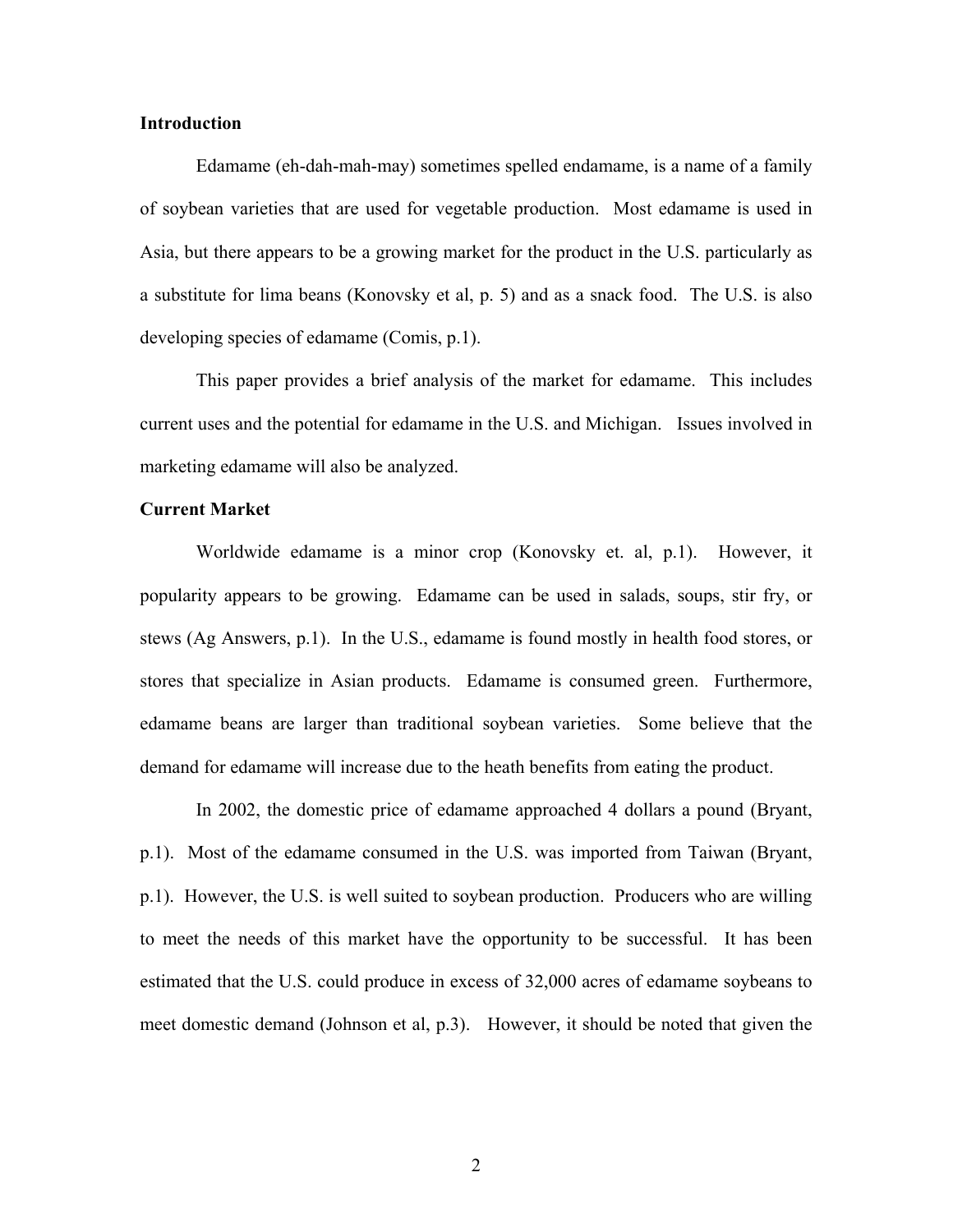### **Introduction**

 Edamame (eh-dah-mah-may) sometimes spelled endamame, is a name of a family of soybean varieties that are used for vegetable production. Most edamame is used in Asia, but there appears to be a growing market for the product in the U.S. particularly as a substitute for lima beans (Konovsky et al, p. 5) and as a snack food. The U.S. is also developing species of edamame (Comis, p.1).

 This paper provides a brief analysis of the market for edamame. This includes current uses and the potential for edamame in the U.S. and Michigan. Issues involved in marketing edamame will also be analyzed.

## **Current Market**

Worldwide edamame is a minor crop (Konovsky et. al, p.1). However, it popularity appears to be growing. Edamame can be used in salads, soups, stir fry, or stews (Ag Answers, p.1). In the U.S., edamame is found mostly in health food stores, or stores that specialize in Asian products. Edamame is consumed green. Furthermore, edamame beans are larger than traditional soybean varieties. Some believe that the demand for edamame will increase due to the heath benefits from eating the product.

 In 2002, the domestic price of edamame approached 4 dollars a pound (Bryant, p.1). Most of the edamame consumed in the U.S. was imported from Taiwan (Bryant, p.1). However, the U.S. is well suited to soybean production. Producers who are willing to meet the needs of this market have the opportunity to be successful. It has been estimated that the U.S. could produce in excess of 32,000 acres of edamame soybeans to meet domestic demand (Johnson et al, p.3). However, it should be noted that given the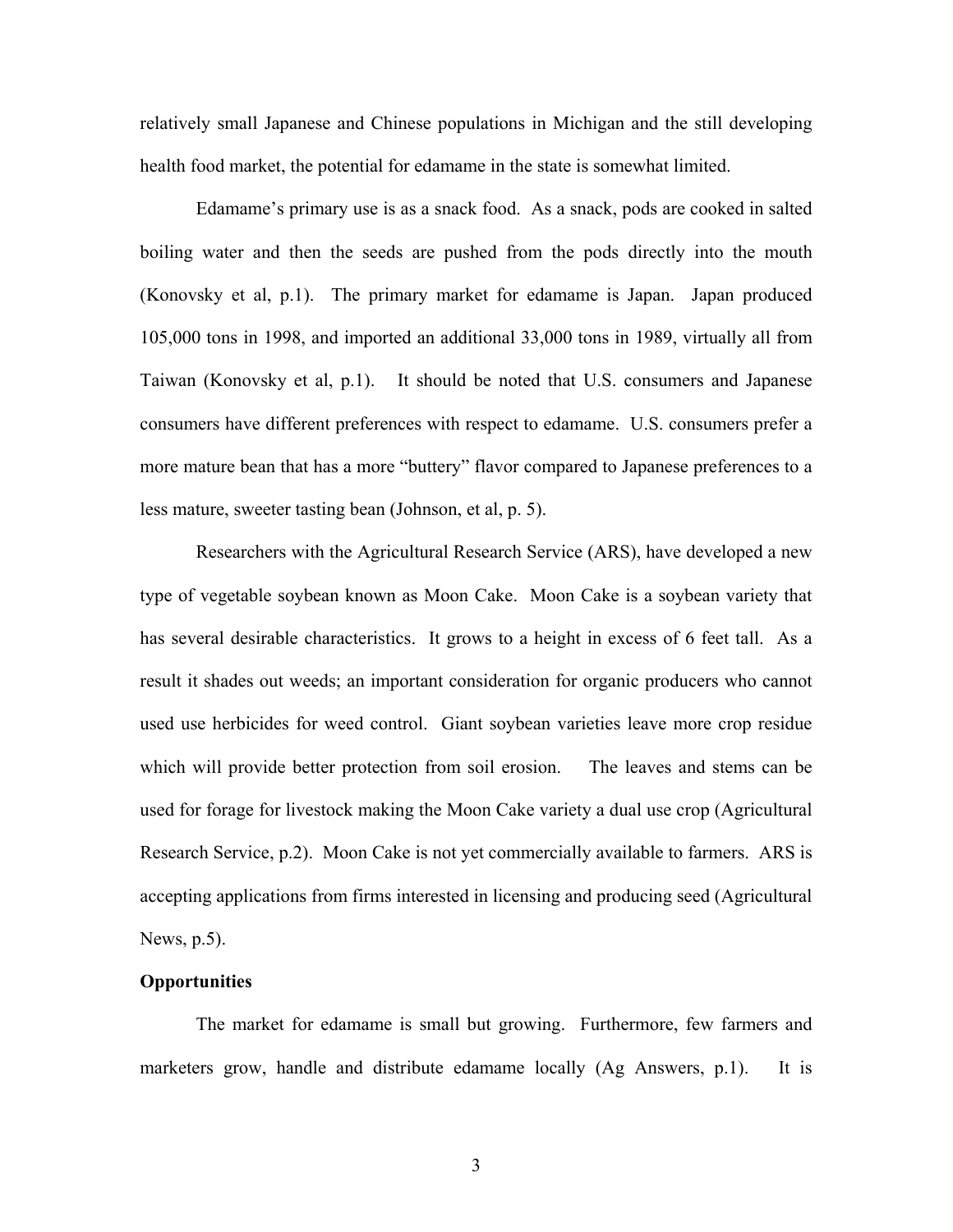relatively small Japanese and Chinese populations in Michigan and the still developing health food market, the potential for edamame in the state is somewhat limited.

 Edamame's primary use is as a snack food. As a snack, pods are cooked in salted boiling water and then the seeds are pushed from the pods directly into the mouth (Konovsky et al, p.1). The primary market for edamame is Japan. Japan produced 105,000 tons in 1998, and imported an additional 33,000 tons in 1989, virtually all from Taiwan (Konovsky et al, p.1). It should be noted that U.S. consumers and Japanese consumers have different preferences with respect to edamame. U.S. consumers prefer a more mature bean that has a more "buttery" flavor compared to Japanese preferences to a less mature, sweeter tasting bean (Johnson, et al, p. 5).

 Researchers with the Agricultural Research Service (ARS), have developed a new type of vegetable soybean known as Moon Cake. Moon Cake is a soybean variety that has several desirable characteristics. It grows to a height in excess of 6 feet tall. As a result it shades out weeds; an important consideration for organic producers who cannot used use herbicides for weed control. Giant soybean varieties leave more crop residue which will provide better protection from soil erosion. The leaves and stems can be used for forage for livestock making the Moon Cake variety a dual use crop (Agricultural Research Service, p.2). Moon Cake is not yet commercially available to farmers. ARS is accepting applications from firms interested in licensing and producing seed (Agricultural News, p.5).

### **Opportunities**

The market for edamame is small but growing. Furthermore, few farmers and marketers grow, handle and distribute edamame locally (Ag Answers, p.1). It is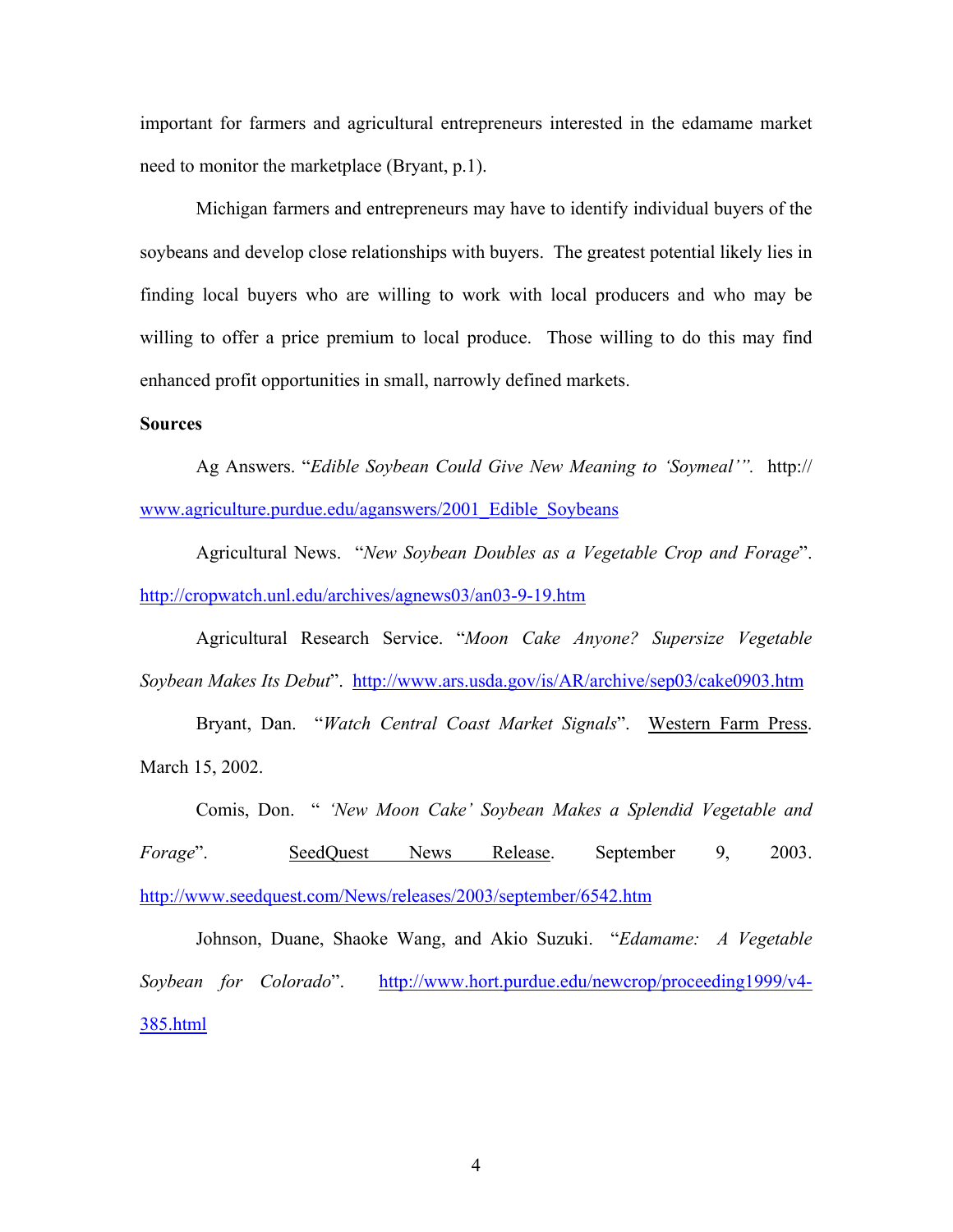important for farmers and agricultural entrepreneurs interested in the edamame market need to monitor the marketplace (Bryant, p.1).

Michigan farmers and entrepreneurs may have to identify individual buyers of the soybeans and develop close relationships with buyers. The greatest potential likely lies in finding local buyers who are willing to work with local producers and who may be willing to offer a price premium to local produce. Those willing to do this may find enhanced profit opportunities in small, narrowly defined markets.

## **Sources**

Ag Answers. "*Edible Soybean Could Give New Meaning to 'Soymeal'".* http:// www.agriculture.purdue.edu/aganswers/2001\_Edible\_Soybeans

 Agricultural News. "*New Soybean Doubles as a Vegetable Crop and Forage*". http://cropwatch.unl.edu/archives/agnews03/an03-9-19.htm

 Agricultural Research Service. "*Moon Cake Anyone? Supersize Vegetable Soybean Makes Its Debut*". http://www.ars.usda.gov/is/AR/archive/sep03/cake0903.htm

 Bryant, Dan. "*Watch Central Coast Market Signals*". Western Farm Press. March 15, 2002.

 Comis, Don. " *'New Moon Cake' Soybean Makes a Splendid Vegetable and Forage*". SeedQuest News Release. September 9, 2003. http://www.seedquest.com/News/releases/2003/september/6542.htm

 Johnson, Duane, Shaoke Wang, and Akio Suzuki. "*Edamame: A Vegetable Soybean for Colorado*". http://www.hort.purdue.edu/newcrop/proceeding1999/v4-385.html